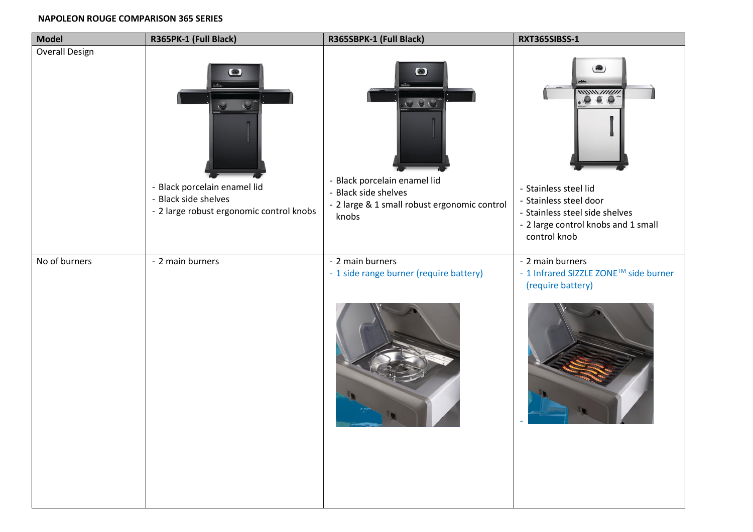## **NAPOLEON ROUGE COMPARISON 365 SERIES**

| <b>Model</b>          | R365PK-1 (Full Black)                                                                            | R365SBPK-1 (Full Black)                                                                                                             | RXT365SIBSS-1                                                                                                                                           |
|-----------------------|--------------------------------------------------------------------------------------------------|-------------------------------------------------------------------------------------------------------------------------------------|---------------------------------------------------------------------------------------------------------------------------------------------------------|
| <b>Overall Design</b> | - Black porcelain enamel lid<br>- Black side shelves<br>- 2 large robust ergonomic control knobs | $\circledast$<br>- Black porcelain enamel lid<br><b>Black side shelves</b><br>- 2 large & 1 small robust ergonomic control<br>knobs | <b>图</b><br>$\mu$<br>.0.6.0<br>- Stainless steel lid<br>- Stainless steel door<br>- Stainless steel side shelves<br>- 2 large control knobs and 1 small |
| No of burners         | - 2 main burners                                                                                 | - 2 main burners<br>- 1 side range burner (require battery)                                                                         | control knob<br>- 2 main burners<br>- 1 Infrared SIZZLE ZONE™ side burner<br>(require battery)                                                          |
|                       |                                                                                                  |                                                                                                                                     |                                                                                                                                                         |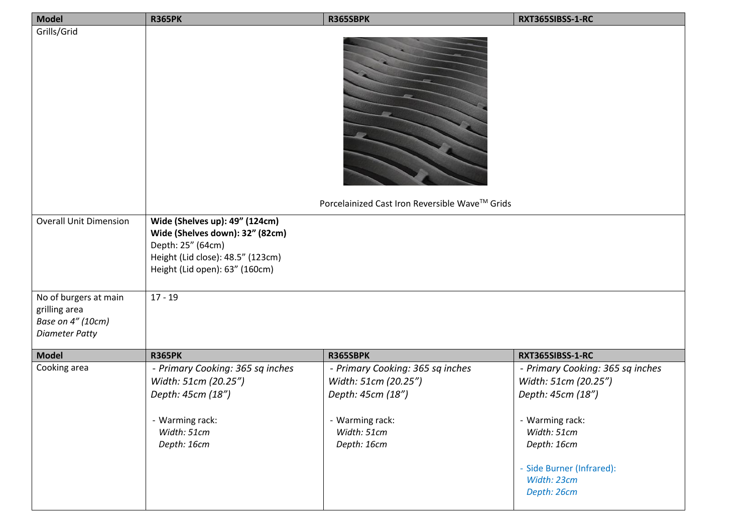| <b>Model</b>                                                                         | <b>R365PK</b>                                                                                                                                                 | R365SBPK                                                                      | RXT365SIBSS-1-RC                                                                          |
|--------------------------------------------------------------------------------------|---------------------------------------------------------------------------------------------------------------------------------------------------------------|-------------------------------------------------------------------------------|-------------------------------------------------------------------------------------------|
| Grills/Grid                                                                          |                                                                                                                                                               | Porcelainized Cast Iron Reversible Wave™ Grids                                |                                                                                           |
|                                                                                      |                                                                                                                                                               |                                                                               |                                                                                           |
| <b>Overall Unit Dimension</b>                                                        | Wide (Shelves up): 49" (124cm)<br>Wide (Shelves down): 32" (82cm)<br>Depth: 25" (64cm)<br>Height (Lid close): 48.5" (123cm)<br>Height (Lid open): 63" (160cm) |                                                                               |                                                                                           |
| No of burgers at main<br>grilling area<br>Base on 4" (10cm)<br><b>Diameter Patty</b> | $17 - 19$                                                                                                                                                     |                                                                               |                                                                                           |
| <b>Model</b>                                                                         | <b>R365PK</b>                                                                                                                                                 | R365SBPK                                                                      | RXT365SIBSS-1-RC                                                                          |
| Cooking area                                                                         | - Primary Cooking: 365 sq inches<br>Width: 51cm (20.25")<br>Depth: 45cm (18")                                                                                 | - Primary Cooking: 365 sq inches<br>Width: 51cm (20.25")<br>Depth: 45cm (18") | - Primary Cooking: 365 sq inches<br>Width: 51cm (20.25")<br>Depth: 45cm (18")             |
|                                                                                      | - Warming rack:<br>Width: 51cm<br>Depth: 16cm                                                                                                                 | - Warming rack:<br>Width: 51cm<br>Depth: 16cm                                 | - Warming rack:<br>Width: 51cm<br>Depth: 16cm<br>- Side Burner (Infrared):<br>Width: 23cm |
|                                                                                      |                                                                                                                                                               |                                                                               | Depth: 26cm                                                                               |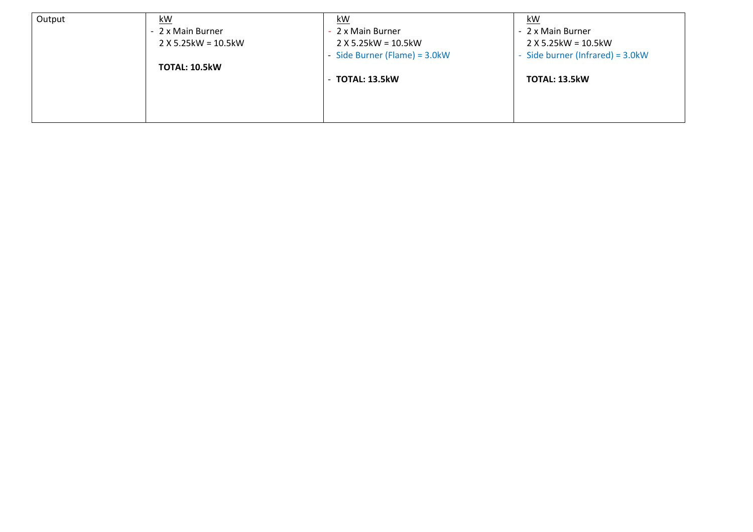| Output | <u>kW</u>              | kW                               | $k$ W                               |
|--------|------------------------|----------------------------------|-------------------------------------|
|        | - 2 x Main Burner      | 2 x Main Burner                  | - 2 x Main Burner                   |
|        | $2 X 5.25$ kW = 10.5kW | $2$ X 5.25kW = 10.5kW            | $2$ X 5.25kW = 10.5kW               |
|        | TOTAL: 10.5kW          | - Side Burner (Flame) = $3.0$ kW | - Side burner (Infrared) = $3.0$ kW |
|        |                        | $-$ TOTAL: 13.5 $kW$             | <b>TOTAL: 13.5kW</b>                |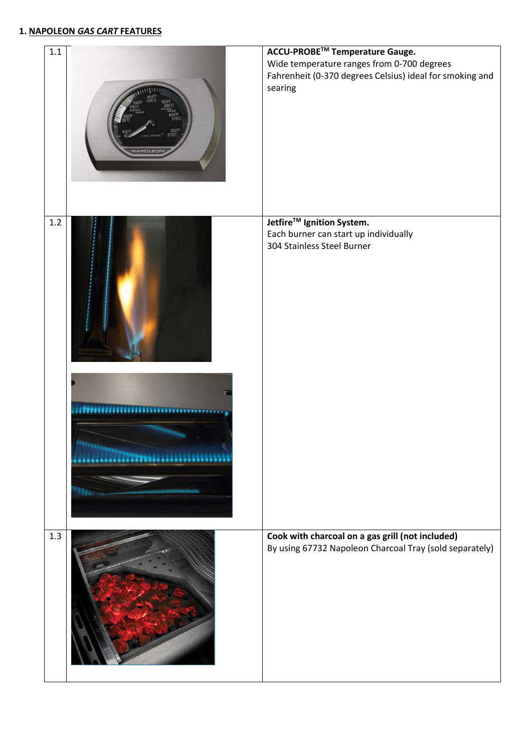## **1. NAPOLEON** *GAS CART* **FEATURES**

| 1.1 | <b>ADOLF</b>                 | ACCU-PROBE™ Temperature Gauge.<br>Wide temperature ranges from 0-700 degrees<br>Fahrenheit (0-370 degrees Celsius) ideal for smoking and<br>searing |
|-----|------------------------------|-----------------------------------------------------------------------------------------------------------------------------------------------------|
| 1.2 |                              | Jetfire <sup>™</sup> Ignition System.<br>Each burner can start up individually<br>304 Stainless Steel Burner                                        |
|     | <b><i><u>ARASTER</u></i></b> |                                                                                                                                                     |
| 1.3 |                              | Cook with charcoal on a gas grill (not included)<br>By using 67732 Napoleon Charcoal Tray (sold separately)                                         |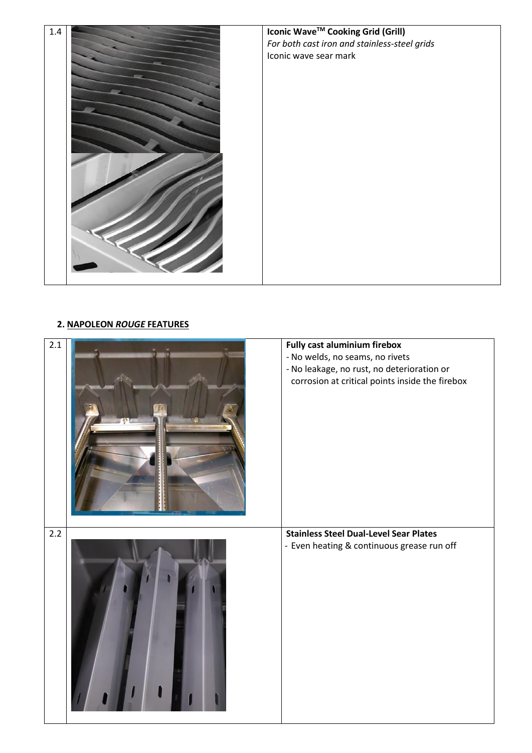

## **2. NAPOLEON** *ROUGE* **FEATURES**

| 2.1   | <b>Fully cast aluminium firebox</b><br>- No welds, no seams, no rivets<br>- No leakage, no rust, no deterioration or<br>corrosion at critical points inside the firebox |
|-------|-------------------------------------------------------------------------------------------------------------------------------------------------------------------------|
| $2.2$ | <b>Stainless Steel Dual-Level Sear Plates</b><br>- Even heating & continuous grease run off                                                                             |